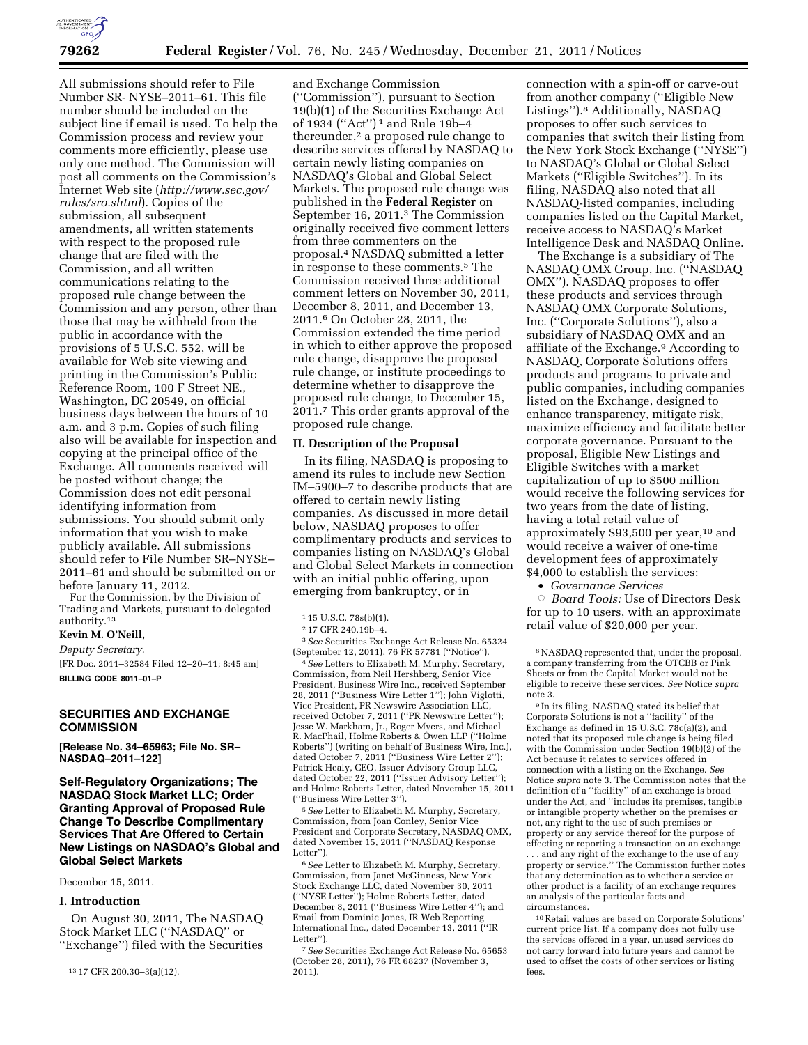

All submissions should refer to File Number SR- NYSE–2011–61. This file number should be included on the subject line if email is used. To help the Commission process and review your comments more efficiently, please use only one method. The Commission will post all comments on the Commission's Internet Web site (*[http://www.sec.gov/](http://www.sec.gov/rules/sro.shtml)  [rules/sro.shtml](http://www.sec.gov/rules/sro.shtml)*). Copies of the submission, all subsequent amendments, all written statements with respect to the proposed rule change that are filed with the Commission, and all written communications relating to the proposed rule change between the Commission and any person, other than those that may be withheld from the public in accordance with the provisions of 5 U.S.C. 552, will be available for Web site viewing and printing in the Commission's Public Reference Room, 100 F Street NE., Washington, DC 20549, on official business days between the hours of 10 a.m. and 3 p.m. Copies of such filing also will be available for inspection and copying at the principal office of the Exchange. All comments received will be posted without change; the Commission does not edit personal identifying information from submissions. You should submit only information that you wish to make publicly available. All submissions should refer to File Number SR–NYSE– 2011–61 and should be submitted on or before January 11, 2012.

For the Commission, by the Division of Trading and Markets, pursuant to delegated authority.13

# **Kevin M. O'Neill,**

*Deputy Secretary.* 

[FR Doc. 2011–32584 Filed 12–20–11; 8:45 am] **BILLING CODE 8011–01–P** 

## **SECURITIES AND EXCHANGE COMMISSION**

**[Release No. 34–65963; File No. SR– NASDAQ–2011–122]** 

**Self-Regulatory Organizations; The NASDAQ Stock Market LLC; Order Granting Approval of Proposed Rule Change To Describe Complimentary Services That Are Offered to Certain New Listings on NASDAQ's Global and Global Select Markets** 

December 15, 2011.

# **I. Introduction**

On August 30, 2011, The NASDAQ Stock Market LLC (''NASDAQ'' or ''Exchange'') filed with the Securities

and Exchange Commission (''Commission''), pursuant to Section 19(b)(1) of the Securities Exchange Act of 1934 (''Act'') 1 and Rule 19b–4 thereunder,<sup>2</sup> a proposed rule change to describe services offered by NASDAQ to certain newly listing companies on NASDAQ's Global and Global Select Markets. The proposed rule change was published in the **Federal Register** on September 16, 2011.3 The Commission originally received five comment letters from three commenters on the proposal.4 NASDAQ submitted a letter in response to these comments.5 The Commission received three additional comment letters on November 30, 2011, December 8, 2011, and December 13, 2011.6 On October 28, 2011, the Commission extended the time period in which to either approve the proposed rule change, disapprove the proposed rule change, or institute proceedings to determine whether to disapprove the proposed rule change, to December 15, 2011.7 This order grants approval of the proposed rule change.

### **II. Description of the Proposal**

In its filing, NASDAQ is proposing to amend its rules to include new Section IM–5900–7 to describe products that are offered to certain newly listing companies. As discussed in more detail below, NASDAQ proposes to offer complimentary products and services to companies listing on NASDAQ's Global and Global Select Markets in connection with an initial public offering, upon emerging from bankruptcy, or in

3*See* Securities Exchange Act Release No. 65324 (September 12, 2011), 76 FR 57781 (''Notice'').

4*See* Letters to Elizabeth M. Murphy, Secretary, Commission, from Neil Hershberg, Senior Vice President, Business Wire Inc., received September 28, 2011 (''Business Wire Letter 1''); John Viglotti, Vice President, PR Newswire Association LLC, received October 7, 2011 (''PR Newswire Letter''); Jesse W. Markham, Jr., Roger Myers, and Michael R. MacPhail, Holme Roberts & Owen LLP (''Holme Roberts'') (writing on behalf of Business Wire, Inc.), dated October 7, 2011 (''Business Wire Letter 2''); Patrick Healy, CEO, Issuer Advisory Group LLC, dated October 22, 2011 (''Issuer Advisory Letter''); and Holme Roberts Letter, dated November 15, 2011 (''Business Wire Letter 3'').

5*See* Letter to Elizabeth M. Murphy, Secretary, Commission, from Joan Conley, Senior Vice President and Corporate Secretary, NASDAQ OMX, dated November 15, 2011 (''NASDAQ Response Letter").

6*See* Letter to Elizabeth M. Murphy, Secretary, Commission, from Janet McGinness, New York Stock Exchange LLC, dated November 30, 2011 (''NYSE Letter''); Holme Roberts Letter, dated December 8, 2011 (''Business Wire Letter 4''); and Email from Dominic Jones, IR Web Reporting International Inc., dated December 13, 2011 (''IR Letter").

7*See* Securities Exchange Act Release No. 65653 (October 28, 2011), 76 FR 68237 (November 3, 2011).

connection with a spin-off or carve-out from another company (''Eligible New Listings'').8 Additionally, NASDAQ proposes to offer such services to companies that switch their listing from the New York Stock Exchange (''NYSE'') to NASDAQ's Global or Global Select Markets (''Eligible Switches''). In its filing, NASDAQ also noted that all NASDAQ-listed companies, including companies listed on the Capital Market, receive access to NASDAQ's Market Intelligence Desk and NASDAQ Online.

The Exchange is a subsidiary of The NASDAQ OMX Group, Inc. (''NASDAQ OMX''). NASDAQ proposes to offer these products and services through NASDAQ OMX Corporate Solutions, Inc. (''Corporate Solutions''), also a subsidiary of NASDAQ OMX and an affiliate of the Exchange.9 According to NASDAQ, Corporate Solutions offers products and programs to private and public companies, including companies listed on the Exchange, designed to enhance transparency, mitigate risk, maximize efficiency and facilitate better corporate governance. Pursuant to the proposal, Eligible New Listings and Eligible Switches with a market capitalization of up to \$500 million would receive the following services for two years from the date of listing, having a total retail value of approximately \$93,500 per year,10 and would receive a waiver of one-time development fees of approximately \$4,000 to establish the services:

• *Governance Services* 

Æ *Board Tools:* Use of Directors Desk for up to 10 users, with an approximate retail value of \$20,000 per year.

9 In its filing, NASDAQ stated its belief that Corporate Solutions is not a ''facility'' of the Exchange as defined in 15 U.S.C. 78c(a)(2), and noted that its proposed rule change is being filed with the Commission under Section 19(b)(2) of the Act because it relates to services offered in connection with a listing on the Exchange. *See*  Notice *supra* note 3. The Commission notes that the definition of a ''facility'' of an exchange is broad under the Act, and ''includes its premises, tangible or intangible property whether on the premises or not, any right to the use of such premises or property or any service thereof for the purpose of effecting or reporting a transaction on an exchange . . . and any right of the exchange to the use of any property or service.'' The Commission further notes that any determination as to whether a service or other product is a facility of an exchange requires an analysis of the particular facts and circumstances.

10Retail values are based on Corporate Solutions' current price list. If a company does not fully use the services offered in a year, unused services do not carry forward into future years and cannot be used to offset the costs of other services or listing fees.

<sup>13</sup> 17 CFR 200.30–3(a)(12).

<sup>1</sup> 15 U.S.C. 78s(b)(1).

<sup>2</sup> 17 CFR 240.19b–4.

<sup>8</sup>NASDAQ represented that, under the proposal, a company transferring from the OTCBB or Pink Sheets or from the Capital Market would not be eligible to receive these services. *See* Notice *supra*  note 3.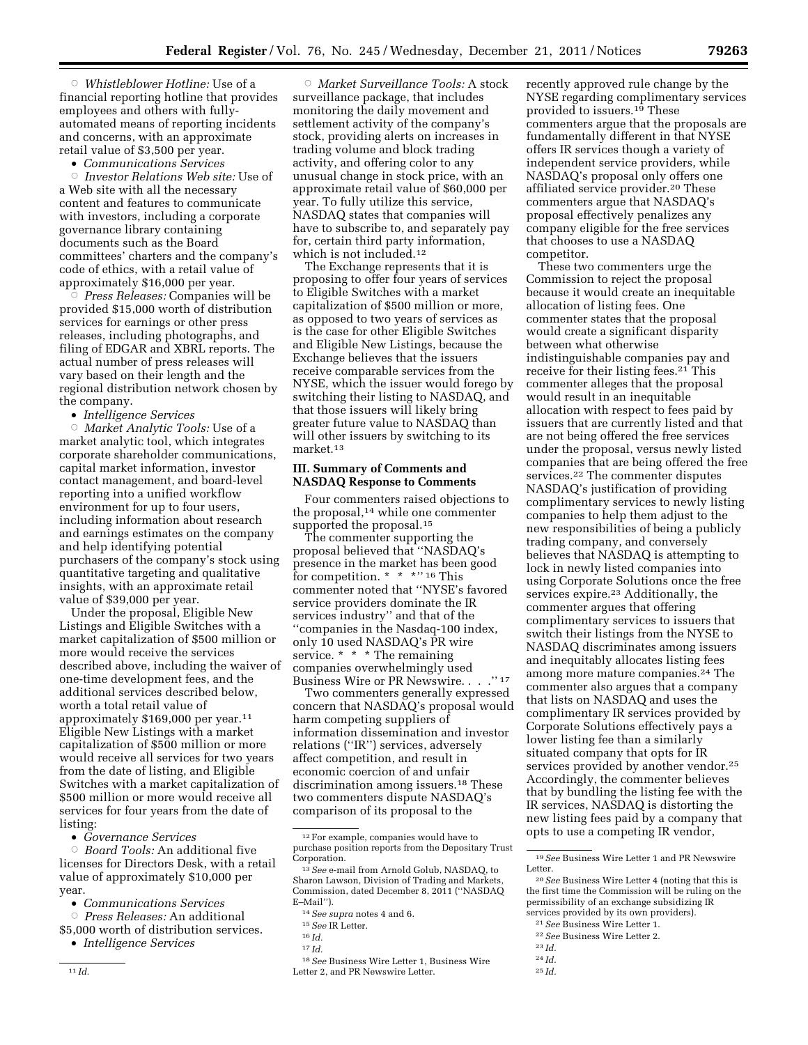Æ *Whistleblower Hotline:* Use of a financial reporting hotline that provides employees and others with fullyautomated means of reporting incidents and concerns, with an approximate retail value of \$3,500 per year.

• *Communications Services* 

Æ *Investor Relations Web site:* Use of a Web site with all the necessary content and features to communicate with investors, including a corporate governance library containing documents such as the Board committees' charters and the company's code of ethics, with a retail value of approximately \$16,000 per year.

Æ *Press Releases:* Companies will be provided \$15,000 worth of distribution services for earnings or other press releases, including photographs, and filing of EDGAR and XBRL reports. The actual number of press releases will vary based on their length and the regional distribution network chosen by the company.

• *Intelligence Services* 

Æ *Market Analytic Tools:* Use of a market analytic tool, which integrates corporate shareholder communications, capital market information, investor contact management, and board-level reporting into a unified workflow environment for up to four users, including information about research and earnings estimates on the company and help identifying potential purchasers of the company's stock using quantitative targeting and qualitative insights, with an approximate retail value of \$39,000 per year.

Under the proposal, Eligible New Listings and Eligible Switches with a market capitalization of \$500 million or more would receive the services described above, including the waiver of one-time development fees, and the additional services described below, worth a total retail value of approximately \$169,000 per year.11 Eligible New Listings with a market capitalization of \$500 million or more would receive all services for two years from the date of listing, and Eligible Switches with a market capitalization of \$500 million or more would receive all services for four years from the date of listing:

• *Governance Services* 

Æ *Board Tools:* An additional five licenses for Directors Desk, with a retail value of approximately \$10,000 per year.

- *Communications Services*
- Æ *Press Releases:* An additional \$5,000 worth of distribution services.

• *Intelligence Services* 

Æ *Market Surveillance Tools:* A stock surveillance package, that includes monitoring the daily movement and settlement activity of the company's stock, providing alerts on increases in trading volume and block trading activity, and offering color to any unusual change in stock price, with an approximate retail value of \$60,000 per year. To fully utilize this service, NASDAQ states that companies will have to subscribe to, and separately pay for, certain third party information, which is not included.12

The Exchange represents that it is proposing to offer four years of services to Eligible Switches with a market capitalization of \$500 million or more, as opposed to two years of services as is the case for other Eligible Switches and Eligible New Listings, because the Exchange believes that the issuers receive comparable services from the NYSE, which the issuer would forego by switching their listing to NASDAQ, and that those issuers will likely bring greater future value to NASDAQ than will other issuers by switching to its market.13

## **III. Summary of Comments and NASDAQ Response to Comments**

Four commenters raised objections to the proposal,<sup>14</sup> while one commenter supported the proposal.<sup>15</sup>

The commenter supporting the proposal believed that ''NASDAQ's presence in the market has been good for competition. \* \* \*'' 16 This commenter noted that ''NYSE's favored service providers dominate the IR services industry'' and that of the ''companies in the Nasdaq-100 index, only 10 used NASDAQ's PR wire service. \* \* \* The remaining companies overwhelmingly used Business Wire or PR Newswire. . . . "17

Two commenters generally expressed concern that NASDAQ's proposal would harm competing suppliers of information dissemination and investor relations (''IR'') services, adversely affect competition, and result in economic coercion of and unfair discrimination among issuers.18 These two commenters dispute NASDAQ's comparison of its proposal to the

18*See* Business Wire Letter 1, Business Wire Letter 2, and PR Newswire Letter.

recently approved rule change by the NYSE regarding complimentary services provided to issuers.19 These commenters argue that the proposals are fundamentally different in that NYSE offers IR services though a variety of independent service providers, while NASDAQ's proposal only offers one affiliated service provider.20 These commenters argue that NASDAQ's proposal effectively penalizes any company eligible for the free services that chooses to use a NASDAQ competitor.

These two commenters urge the Commission to reject the proposal because it would create an inequitable allocation of listing fees. One commenter states that the proposal would create a significant disparity between what otherwise indistinguishable companies pay and receive for their listing fees.<sup>21</sup> This commenter alleges that the proposal would result in an inequitable allocation with respect to fees paid by issuers that are currently listed and that are not being offered the free services under the proposal, versus newly listed companies that are being offered the free services.22 The commenter disputes NASDAQ's justification of providing complimentary services to newly listing companies to help them adjust to the new responsibilities of being a publicly trading company, and conversely believes that NASDAQ is attempting to lock in newly listed companies into using Corporate Solutions once the free services expire.<sup>23</sup> Additionally, the commenter argues that offering complimentary services to issuers that switch their listings from the NYSE to NASDAQ discriminates among issuers and inequitably allocates listing fees among more mature companies.24 The commenter also argues that a company that lists on NASDAQ and uses the complimentary IR services provided by Corporate Solutions effectively pays a lower listing fee than a similarly situated company that opts for IR services provided by another vendor.<sup>25</sup> Accordingly, the commenter believes that by bundling the listing fee with the IR services, NASDAQ is distorting the new listing fees paid by a company that opts to use a competing IR vendor,

- 23 *Id.*
- 24 *Id.*

<sup>12</sup>For example, companies would have to purchase position reports from the Depositary Trust Corporation.

<sup>13</sup>*See* e-mail from Arnold Golub, NASDAQ, to Sharon Lawson, Division of Trading and Markets, Commission, dated December 8, 2011 (''NASDAQ E–Mail'').

<sup>14</sup>*See supra* notes 4 and 6.

<sup>15</sup>*See* IR Letter.

 $^{16}\,Id.$ 

<sup>17</sup> *Id.* 

<sup>19</sup>*See* Business Wire Letter 1 and PR Newswire Letter.

<sup>20</sup>*See* Business Wire Letter 4 (noting that this is the first time the Commission will be ruling on the permissibility of an exchange subsidizing IR services provided by its own providers).

<sup>21</sup>*See* Business Wire Letter 1.

<sup>22</sup>*See* Business Wire Letter 2.

<sup>25</sup> *Id.*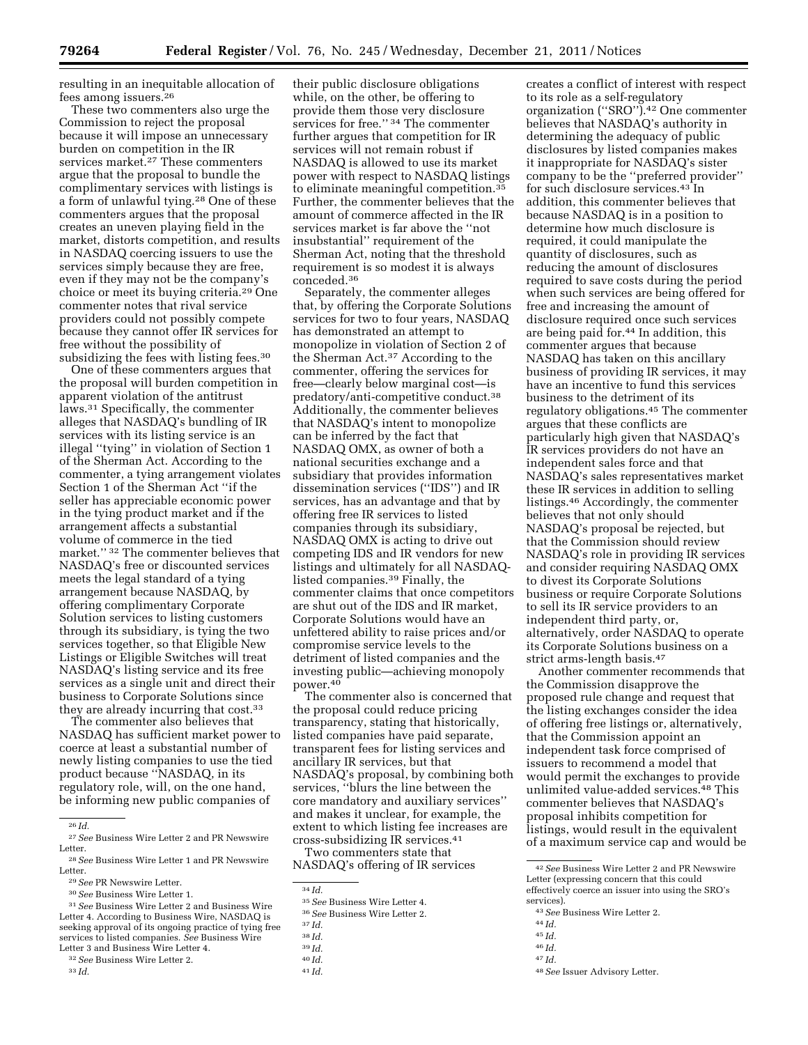resulting in an inequitable allocation of fees among issuers.26

These two commenters also urge the Commission to reject the proposal because it will impose an unnecessary burden on competition in the IR services market.<sup>27</sup> These commenters argue that the proposal to bundle the complimentary services with listings is a form of unlawful tying.28 One of these commenters argues that the proposal creates an uneven playing field in the market, distorts competition, and results in NASDAQ coercing issuers to use the services simply because they are free, even if they may not be the company's choice or meet its buying criteria.29 One commenter notes that rival service providers could not possibly compete because they cannot offer IR services for free without the possibility of subsidizing the fees with listing fees.<sup>30</sup>

One of these commenters argues that the proposal will burden competition in apparent violation of the antitrust laws.31 Specifically, the commenter alleges that NASDAQ's bundling of IR services with its listing service is an illegal ''tying'' in violation of Section 1 of the Sherman Act. According to the commenter, a tying arrangement violates Section 1 of the Sherman Act ''if the seller has appreciable economic power in the tying product market and if the arrangement affects a substantial volume of commerce in the tied market.'' 32 The commenter believes that NASDAQ's free or discounted services meets the legal standard of a tying arrangement because NASDAQ, by offering complimentary Corporate Solution services to listing customers through its subsidiary, is tying the two services together, so that Eligible New Listings or Eligible Switches will treat NASDAQ's listing service and its free services as a single unit and direct their business to Corporate Solutions since they are already incurring that cost.<sup>33</sup>

The commenter also believes that NASDAQ has sufficient market power to coerce at least a substantial number of newly listing companies to use the tied product because ''NASDAQ, in its regulatory role, will, on the one hand, be informing new public companies of

31*See* Business Wire Letter 2 and Business Wire Letter 4. According to Business Wire, NASDAQ is seeking approval of its ongoing practice of tying free services to listed companies. *See* Business Wire Letter 3 and Business Wire Letter 4.

- 32*See* Business Wire Letter 2.
- 33 *Id.*

their public disclosure obligations while, on the other, be offering to provide them those very disclosure services for free." <sup>34</sup> The commenter further argues that competition for IR services will not remain robust if NASDAQ is allowed to use its market power with respect to NASDAQ listings to eliminate meaningful competition.35 Further, the commenter believes that the amount of commerce affected in the IR services market is far above the ''not insubstantial'' requirement of the Sherman Act, noting that the threshold requirement is so modest it is always conceded.36

Separately, the commenter alleges that, by offering the Corporate Solutions services for two to four years, NASDAQ has demonstrated an attempt to monopolize in violation of Section 2 of the Sherman Act.37 According to the commenter, offering the services for free—clearly below marginal cost—is predatory/anti-competitive conduct.38 Additionally, the commenter believes that NASDAQ's intent to monopolize can be inferred by the fact that NASDAQ OMX, as owner of both a national securities exchange and a subsidiary that provides information dissemination services (''IDS'') and IR services, has an advantage and that by offering free IR services to listed companies through its subsidiary, NASDAQ OMX is acting to drive out competing IDS and IR vendors for new listings and ultimately for all NASDAQlisted companies.39 Finally, the commenter claims that once competitors are shut out of the IDS and IR market, Corporate Solutions would have an unfettered ability to raise prices and/or compromise service levels to the detriment of listed companies and the investing public—achieving monopoly power.40

The commenter also is concerned that the proposal could reduce pricing transparency, stating that historically, listed companies have paid separate, transparent fees for listing services and ancillary IR services, but that NASDAQ's proposal, by combining both services, ''blurs the line between the core mandatory and auxiliary services'' and makes it unclear, for example, the extent to which listing fee increases are cross-subsidizing IR services.41 Two commenters state that

NASDAQ's offering of IR services

- 39 *Id.*
- 40 *Id.*
- 41 *Id.*

creates a conflict of interest with respect to its role as a self-regulatory organization (''SRO'').42 One commenter believes that NASDAQ's authority in determining the adequacy of public disclosures by listed companies makes it inappropriate for NASDAQ's sister company to be the ''preferred provider'' for such disclosure services.43 In addition, this commenter believes that because NASDAQ is in a position to determine how much disclosure is required, it could manipulate the quantity of disclosures, such as reducing the amount of disclosures required to save costs during the period when such services are being offered for free and increasing the amount of disclosure required once such services are being paid for.44 In addition, this commenter argues that because NASDAQ has taken on this ancillary business of providing IR services, it may have an incentive to fund this services business to the detriment of its regulatory obligations.45 The commenter argues that these conflicts are particularly high given that NASDAQ's IR services providers do not have an independent sales force and that NASDAQ's sales representatives market these IR services in addition to selling listings.46 Accordingly, the commenter believes that not only should NASDAQ's proposal be rejected, but that the Commission should review NASDAQ's role in providing IR services and consider requiring NASDAQ OMX to divest its Corporate Solutions business or require Corporate Solutions to sell its IR service providers to an independent third party, or, alternatively, order NASDAQ to operate its Corporate Solutions business on a strict arms-length basis.47

Another commenter recommends that the Commission disapprove the proposed rule change and request that the listing exchanges consider the idea of offering free listings or, alternatively, that the Commission appoint an independent task force comprised of issuers to recommend a model that would permit the exchanges to provide unlimited value-added services.48 This commenter believes that NASDAQ's proposal inhibits competition for listings, would result in the equivalent of a maximum service cap and would be

44 *Id.* 

46 *Id.* 

<sup>26</sup> *Id.* 

<sup>27</sup>*See* Business Wire Letter 2 and PR Newswire Letter.

<sup>28</sup>*See* Business Wire Letter 1 and PR Newswire Letter.

<sup>29</sup>*See* PR Newswire Letter.

<sup>30</sup>*See* Business Wire Letter 1.

<sup>&</sup>lt;sup>34</sup> *Id.* <sup>35</sup> *See* Business Wire Letter 4.

<sup>35</sup>*See* Business Wire Letter 4. 36*See* Business Wire Letter 2. 37 *Id.* 

<sup>38</sup> *Id.* 

<sup>42</sup>*See* Business Wire Letter 2 and PR Newswire Letter (expressing concern that this could effectively coerce an issuer into using the SRO's services).

<sup>43</sup>*See* Business Wire Letter 2.

<sup>45</sup> *Id.* 

<sup>47</sup> *Id.* 

<sup>48</sup>*See* Issuer Advisory Letter.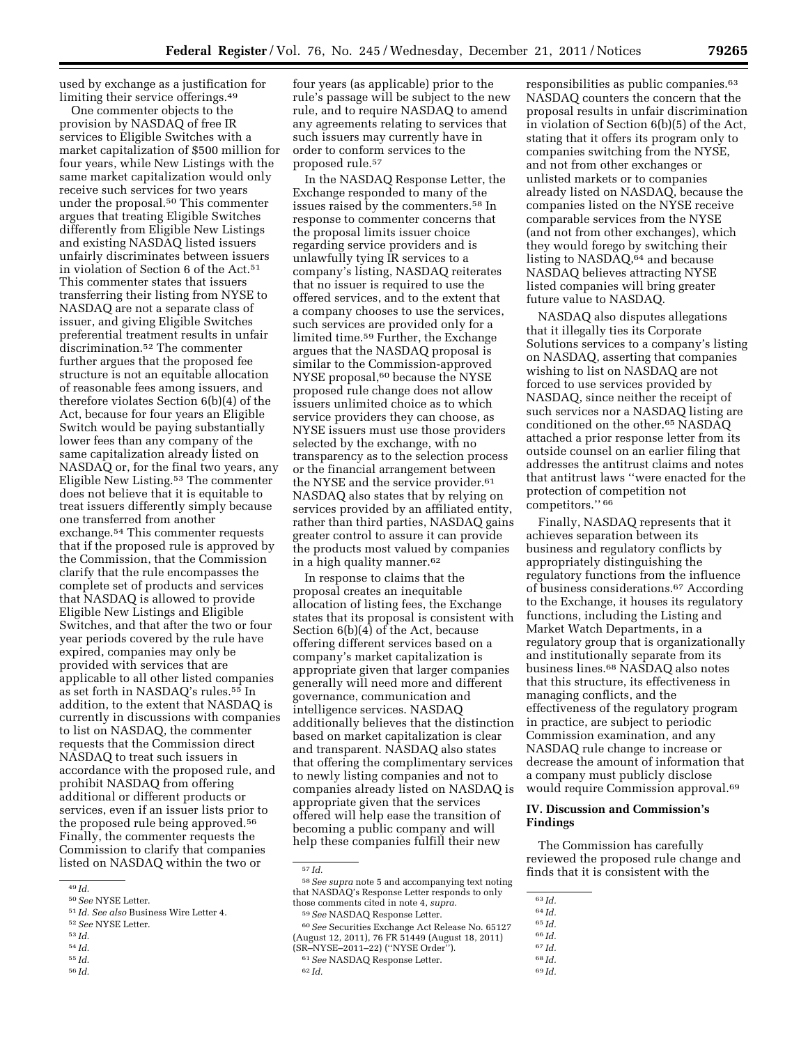used by exchange as a justification for limiting their service offerings.49

One commenter objects to the provision by NASDAQ of free IR services to Eligible Switches with a market capitalization of \$500 million for four years, while New Listings with the same market capitalization would only receive such services for two years under the proposal.<sup>50</sup> This commenter argues that treating Eligible Switches differently from Eligible New Listings and existing NASDAQ listed issuers unfairly discriminates between issuers in violation of Section 6 of the Act.<sup>51</sup> This commenter states that issuers transferring their listing from NYSE to NASDAQ are not a separate class of issuer, and giving Eligible Switches preferential treatment results in unfair discrimination.52 The commenter further argues that the proposed fee structure is not an equitable allocation of reasonable fees among issuers, and therefore violates Section 6(b)(4) of the Act, because for four years an Eligible Switch would be paying substantially lower fees than any company of the same capitalization already listed on NASDAQ or, for the final two years, any Eligible New Listing.53 The commenter does not believe that it is equitable to treat issuers differently simply because one transferred from another exchange.54 This commenter requests that if the proposed rule is approved by the Commission, that the Commission clarify that the rule encompasses the complete set of products and services that NASDAQ is allowed to provide Eligible New Listings and Eligible Switches, and that after the two or four year periods covered by the rule have expired, companies may only be provided with services that are applicable to all other listed companies as set forth in NASDAQ's rules.55 In addition, to the extent that NASDAQ is currently in discussions with companies to list on NASDAQ, the commenter requests that the Commission direct NASDAQ to treat such issuers in accordance with the proposed rule, and prohibit NASDAQ from offering additional or different products or services, even if an issuer lists prior to the proposed rule being approved.56 Finally, the commenter requests the Commission to clarify that companies listed on NASDAQ within the two or

- 52*See* NYSE Letter.
- 53 *Id.*
- 54 *Id.*  55 *Id.*
- 56 *Id.*

In the NASDAQ Response Letter, the Exchange responded to many of the issues raised by the commenters.58 In response to commenter concerns that the proposal limits issuer choice regarding service providers and is unlawfully tying IR services to a company's listing, NASDAQ reiterates that no issuer is required to use the offered services, and to the extent that a company chooses to use the services, such services are provided only for a limited time.59 Further, the Exchange argues that the NASDAQ proposal is similar to the Commission-approved NYSE proposal,<sup>60</sup> because the NYSE proposed rule change does not allow issuers unlimited choice as to which service providers they can choose, as NYSE issuers must use those providers selected by the exchange, with no transparency as to the selection process or the financial arrangement between the NYSE and the service provider.61 NASDAQ also states that by relying on services provided by an affiliated entity, rather than third parties, NASDAQ gains greater control to assure it can provide the products most valued by companies in a high quality manner.62

In response to claims that the proposal creates an inequitable allocation of listing fees, the Exchange states that its proposal is consistent with Section 6(b)(4) of the Act, because offering different services based on a company's market capitalization is appropriate given that larger companies generally will need more and different governance, communication and intelligence services. NASDAQ additionally believes that the distinction based on market capitalization is clear and transparent. NASDAQ also states that offering the complimentary services to newly listing companies and not to companies already listed on NASDAQ is appropriate given that the services offered will help ease the transition of becoming a public company and will help these companies fulfill their new

57 *Id.* 

responsibilities as public companies.63 NASDAQ counters the concern that the proposal results in unfair discrimination in violation of Section 6(b)(5) of the Act, stating that it offers its program only to companies switching from the NYSE, and not from other exchanges or unlisted markets or to companies already listed on NASDAQ, because the companies listed on the NYSE receive comparable services from the NYSE (and not from other exchanges), which they would forego by switching their listing to NASDAQ,<sup>64</sup> and because NASDAQ believes attracting NYSE listed companies will bring greater future value to NASDAQ.

NASDAQ also disputes allegations that it illegally ties its Corporate Solutions services to a company's listing on NASDAQ, asserting that companies wishing to list on NASDAQ are not forced to use services provided by NASDAQ, since neither the receipt of such services nor a NASDAQ listing are conditioned on the other.65 NASDAQ attached a prior response letter from its outside counsel on an earlier filing that addresses the antitrust claims and notes that antitrust laws ''were enacted for the protection of competition not competitors." 66

Finally, NASDAQ represents that it achieves separation between its business and regulatory conflicts by appropriately distinguishing the regulatory functions from the influence of business considerations.67 According to the Exchange, it houses its regulatory functions, including the Listing and Market Watch Departments, in a regulatory group that is organizationally and institutionally separate from its business lines.68 NASDAQ also notes that this structure, its effectiveness in managing conflicts, and the effectiveness of the regulatory program in practice, are subject to periodic Commission examination, and any NASDAQ rule change to increase or decrease the amount of information that a company must publicly disclose would require Commission approval.69

### **IV. Discussion and Commission's Findings**

The Commission has carefully reviewed the proposed rule change and finds that it is consistent with the

64 *Id.* 

- 66 *Id.*
- 
- 
- 
- 
- 67 *Id.*
- 68 *Id.*
- 69 *Id.*

<sup>49</sup> *Id.* 

<sup>50</sup>*See* NYSE Letter.

<sup>51</sup> *Id. See also* Business Wire Letter 4.

four years (as applicable) prior to the rule's passage will be subject to the new rule, and to require NASDAQ to amend any agreements relating to services that such issuers may currently have in order to conform services to the proposed rule.57

<sup>58</sup>*See supra* note 5 and accompanying text noting that NASDAQ's Response Letter responds to only those comments cited in note 4, *supra.*  59*See* NASDAQ Response Letter.

<sup>60</sup>*See* Securities Exchange Act Release No. 65127 (August 12, 2011), 76 FR 51449 (August 18, 2011)

<sup>(</sup>SR–NYSE–2011–22) (''NYSE Order''). 61*See* NASDAQ Response Letter.

<sup>62</sup> *Id.* 

<sup>63</sup> *Id.* 

<sup>65</sup> *Id.*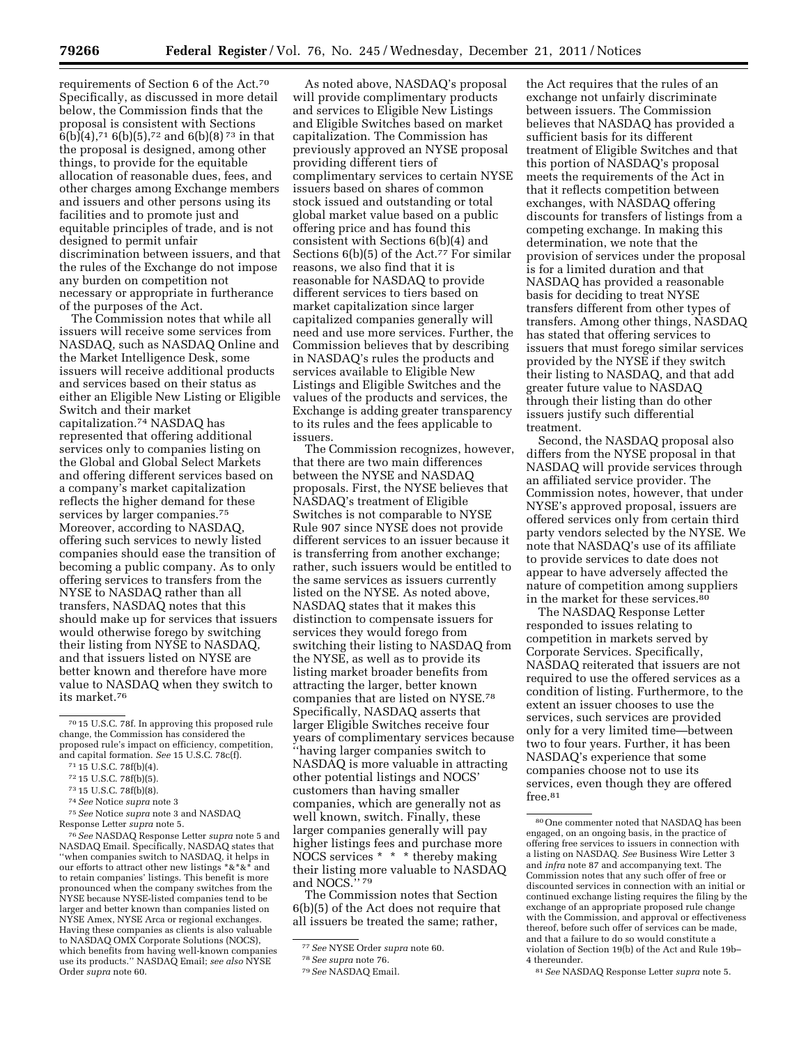requirements of Section 6 of the Act.70 Specifically, as discussed in more detail below, the Commission finds that the proposal is consistent with Sections  $6(b)(4)$ ,  $716(b)(5)$ ,  $72$  and  $6(b)(8)$   $73$  in that the proposal is designed, among other things, to provide for the equitable allocation of reasonable dues, fees, and other charges among Exchange members and issuers and other persons using its facilities and to promote just and equitable principles of trade, and is not designed to permit unfair discrimination between issuers, and that the rules of the Exchange do not impose any burden on competition not necessary or appropriate in furtherance of the purposes of the Act.

The Commission notes that while all issuers will receive some services from NASDAQ, such as NASDAQ Online and the Market Intelligence Desk, some issuers will receive additional products and services based on their status as either an Eligible New Listing or Eligible Switch and their market capitalization.74 NASDAQ has represented that offering additional services only to companies listing on the Global and Global Select Markets and offering different services based on a company's market capitalization reflects the higher demand for these services by larger companies.<sup>75</sup> Moreover, according to NASDAQ, offering such services to newly listed companies should ease the transition of becoming a public company. As to only offering services to transfers from the NYSE to NASDAQ rather than all transfers, NASDAQ notes that this should make up for services that issuers would otherwise forego by switching their listing from NYSE to NASDAQ, and that issuers listed on NYSE are better known and therefore have more value to NASDAQ when they switch to its market.76

75*See* Notice *supra* note 3 and NASDAQ Response Letter *supra* note 5.

76*See* NASDAQ Response Letter *supra* note 5 and NASDAQ Email. Specifically, NASDAQ states that 'when companies switch to NASDAQ, it helps in our efforts to attract other new listings \*&\*&\* and to retain companies' listings. This benefit is more pronounced when the company switches from the NYSE because NYSE-listed companies tend to be larger and better known than companies listed on NYSE Amex, NYSE Arca or regional exchanges. Having these companies as clients is also valuable to NASDAQ OMX Corporate Solutions (NOCS), which benefits from having well-known companies use its products.'' NASDAQ Email; *see also* NYSE Order *supra* note 60.

As noted above, NASDAQ's proposal will provide complimentary products and services to Eligible New Listings and Eligible Switches based on market capitalization. The Commission has previously approved an NYSE proposal providing different tiers of complimentary services to certain NYSE issuers based on shares of common stock issued and outstanding or total global market value based on a public offering price and has found this consistent with Sections 6(b)(4) and Sections 6(b)(5) of the Act.<sup>77</sup> For similar reasons, we also find that it is reasonable for NASDAQ to provide different services to tiers based on market capitalization since larger capitalized companies generally will need and use more services. Further, the Commission believes that by describing in NASDAQ's rules the products and services available to Eligible New Listings and Eligible Switches and the values of the products and services, the Exchange is adding greater transparency to its rules and the fees applicable to issuers.

The Commission recognizes, however, that there are two main differences between the NYSE and NASDAQ proposals. First, the NYSE believes that NASDAQ's treatment of Eligible Switches is not comparable to NYSE Rule 907 since NYSE does not provide different services to an issuer because it is transferring from another exchange; rather, such issuers would be entitled to the same services as issuers currently listed on the NYSE. As noted above, NASDAQ states that it makes this distinction to compensate issuers for services they would forego from switching their listing to NASDAQ from the NYSE, as well as to provide its listing market broader benefits from attracting the larger, better known companies that are listed on NYSE.78 Specifically, NASDAQ asserts that larger Eligible Switches receive four years of complimentary services because ''having larger companies switch to NASDAQ is more valuable in attracting other potential listings and NOCS' customers than having smaller companies, which are generally not as well known, switch. Finally, these larger companies generally will pay higher listings fees and purchase more NOCS services \* \* \* thereby making their listing more valuable to NASDAQ and NOCS.'' 79

The Commission notes that Section 6(b)(5) of the Act does not require that all issuers be treated the same; rather,

the Act requires that the rules of an exchange not unfairly discriminate between issuers. The Commission believes that NASDAQ has provided a sufficient basis for its different treatment of Eligible Switches and that this portion of NASDAQ's proposal meets the requirements of the Act in that it reflects competition between exchanges, with NASDAQ offering discounts for transfers of listings from a competing exchange. In making this determination, we note that the provision of services under the proposal is for a limited duration and that NASDAQ has provided a reasonable basis for deciding to treat NYSE transfers different from other types of transfers. Among other things, NASDAQ has stated that offering services to issuers that must forego similar services provided by the NYSE if they switch their listing to NASDAQ, and that add greater future value to NASDAQ through their listing than do other issuers justify such differential treatment.

Second, the NASDAQ proposal also differs from the NYSE proposal in that NASDAQ will provide services through an affiliated service provider. The Commission notes, however, that under NYSE's approved proposal, issuers are offered services only from certain third party vendors selected by the NYSE. We note that NASDAQ's use of its affiliate to provide services to date does not appear to have adversely affected the nature of competition among suppliers in the market for these services.<sup>80</sup>

The NASDAQ Response Letter responded to issues relating to competition in markets served by Corporate Services. Specifically, NASDAQ reiterated that issuers are not required to use the offered services as a condition of listing. Furthermore, to the extent an issuer chooses to use the services, such services are provided only for a very limited time—between two to four years. Further, it has been NASDAQ's experience that some companies choose not to use its services, even though they are offered free.<sup>81</sup>

<sup>70</sup> 15 U.S.C. 78f. In approving this proposed rule change, the Commission has considered the proposed rule's impact on efficiency, competition, and capital formation. *See* 15 U.S.C. 78c(f).

<sup>71</sup> 15 U.S.C. 78f(b)(4).

<sup>72</sup> 15 U.S.C. 78f(b)(5).

<sup>73</sup> 15 U.S.C. 78f(b)(8).

<sup>74</sup>*See* Notice *supra* note 3

<sup>77</sup>*See* NYSE Order *supra* note 60.

<sup>78</sup>*See supra* note 76.

<sup>79</sup>*See* NASDAQ Email.

<sup>80</sup>One commenter noted that NASDAQ has been engaged, on an ongoing basis, in the practice of offering free services to issuers in connection with a listing on NASDAQ. *See* Business Wire Letter 3 and *infra* note 87 and accompanying text. The Commission notes that any such offer of free or discounted services in connection with an initial or continued exchange listing requires the filing by the exchange of an appropriate proposed rule change with the Commission, and approval or effectiveness thereof, before such offer of services can be made, and that a failure to do so would constitute a violation of Section 19(b) of the Act and Rule 19b– 4 thereunder.

<sup>81</sup>*See* NASDAQ Response Letter *supra* note 5.